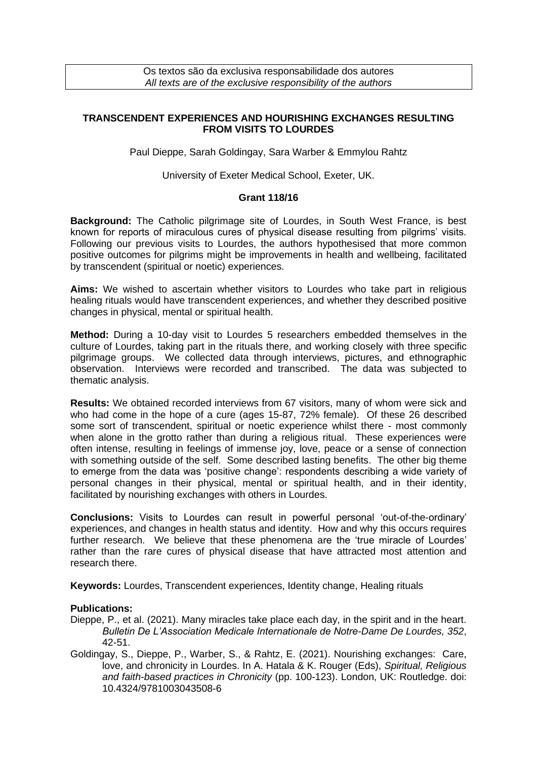Os textos são da exclusiva responsabilidade dos autores *All texts are of the exclusive responsibility of the authors*

## **TRANSCENDENT EXPERIENCES AND HOURISHING EXCHANGES RESULTING FROM VISITS TO LOURDES**

Paul Dieppe, Sarah Goldingay, Sara Warber & Emmylou Rahtz

University of Exeter Medical School, Exeter, UK.

## **Grant 118/16**

**Background:** The Catholic pilgrimage site of Lourdes, in South West France, is best known for reports of miraculous cures of physical disease resulting from pilgrims' visits. Following our previous visits to Lourdes, the authors hypothesised that more common positive outcomes for pilgrims might be improvements in health and wellbeing, facilitated by transcendent (spiritual or noetic) experiences.

**Aims:** We wished to ascertain whether visitors to Lourdes who take part in religious healing rituals would have transcendent experiences, and whether they described positive changes in physical, mental or spiritual health.

**Method:** During a 10-day visit to Lourdes 5 researchers embedded themselves in the culture of Lourdes, taking part in the rituals there, and working closely with three specific pilgrimage groups. We collected data through interviews, pictures, and ethnographic observation. Interviews were recorded and transcribed. The data was subjected to thematic analysis.

**Results:** We obtained recorded interviews from 67 visitors, many of whom were sick and who had come in the hope of a cure (ages 15-87, 72% female). Of these 26 described some sort of transcendent, spiritual or noetic experience whilst there - most commonly when alone in the grotto rather than during a religious ritual. These experiences were often intense, resulting in feelings of immense joy, love, peace or a sense of connection with something outside of the self. Some described lasting benefits. The other big theme to emerge from the data was 'positive change': respondents describing a wide variety of personal changes in their physical, mental or spiritual health, and in their identity, facilitated by nourishing exchanges with others in Lourdes.

**Conclusions:** Visits to Lourdes can result in powerful personal 'out-of-the-ordinary' experiences, and changes in health status and identity. How and why this occurs requires further research. We believe that these phenomena are the 'true miracle of Lourdes' rather than the rare cures of physical disease that have attracted most attention and research there.

**Keywords:** Lourdes, Transcendent experiences, Identity change, Healing rituals

## **Publications:**

- Dieppe, P., et al. (2021). Many miracles take place each day, in the spirit and in the heart. *Bulletin De L'Association Medicale Internationale de Notre-Dame De Lourdes, 352*, 42-51.
- Goldingay, S., Dieppe, P., Warber, S., & Rahtz, E. (2021). Nourishing exchanges: Care, love, and chronicity in Lourdes. In A. Hatala & K. Rouger (Eds), *Spiritual, Religious and faith-based practices in Chronicity* (pp. 100-123). London, UK: Routledge. doi: 10.4324/9781003043508-6